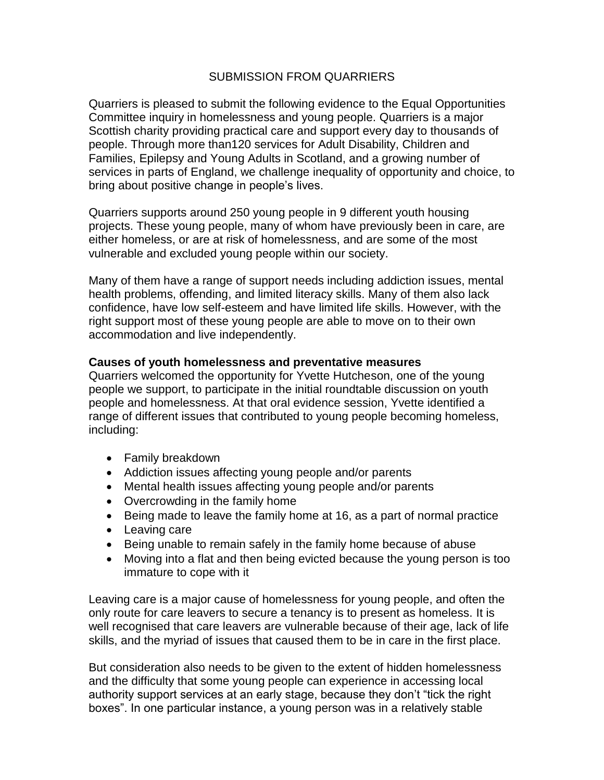# SUBMISSION FROM QUARRIERS

Quarriers is pleased to submit the following evidence to the Equal Opportunities Committee inquiry in homelessness and young people. Quarriers is a major Scottish charity providing practical care and support every day to thousands of people. Through more than120 services for Adult Disability, Children and Families, Epilepsy and Young Adults in Scotland, and a growing number of services in parts of England, we challenge inequality of opportunity and choice, to bring about positive change in people's lives.

Quarriers supports around 250 young people in 9 different youth housing projects. These young people, many of whom have previously been in care, are either homeless, or are at risk of homelessness, and are some of the most vulnerable and excluded young people within our society.

Many of them have a range of support needs including addiction issues, mental health problems, offending, and limited literacy skills. Many of them also lack confidence, have low self-esteem and have limited life skills. However, with the right support most of these young people are able to move on to their own accommodation and live independently.

#### **Causes of youth homelessness and preventative measures**

Quarriers welcomed the opportunity for Yvette Hutcheson, one of the young people we support, to participate in the initial roundtable discussion on youth people and homelessness. At that oral evidence session, Yvette identified a range of different issues that contributed to young people becoming homeless, including:

- Family breakdown
- Addiction issues affecting young people and/or parents
- Mental health issues affecting young people and/or parents
- Overcrowding in the family home
- Being made to leave the family home at 16, as a part of normal practice
- Leaving care
- Being unable to remain safely in the family home because of abuse
- Moving into a flat and then being evicted because the young person is too immature to cope with it

Leaving care is a major cause of homelessness for young people, and often the only route for care leavers to secure a tenancy is to present as homeless. It is well recognised that care leavers are vulnerable because of their age, lack of life skills, and the myriad of issues that caused them to be in care in the first place.

But consideration also needs to be given to the extent of hidden homelessness and the difficulty that some young people can experience in accessing local authority support services at an early stage, because they don't "tick the right boxes". In one particular instance, a young person was in a relatively stable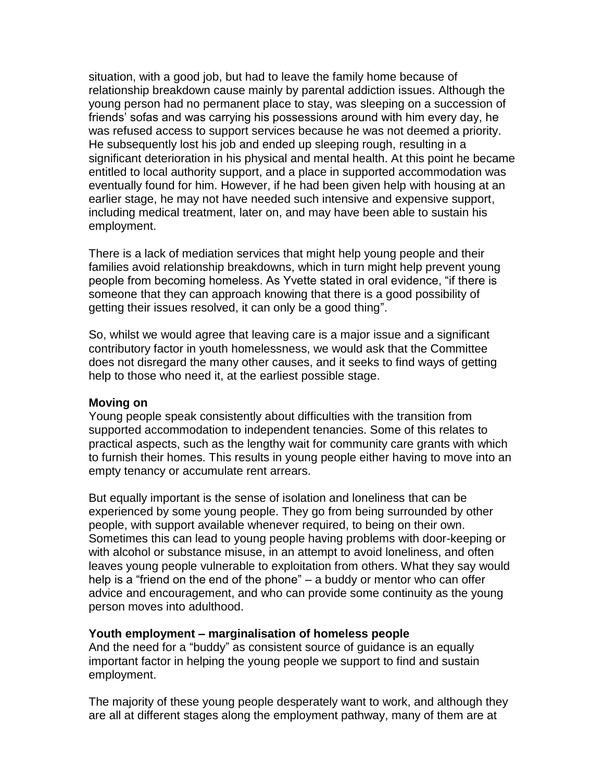situation, with a good job, but had to leave the family home because of relationship breakdown cause mainly by parental addiction issues. Although the young person had no permanent place to stay, was sleeping on a succession of friends' sofas and was carrying his possessions around with him every day, he was refused access to support services because he was not deemed a priority. He subsequently lost his job and ended up sleeping rough, resulting in a significant deterioration in his physical and mental health. At this point he became entitled to local authority support, and a place in supported accommodation was eventually found for him. However, if he had been given help with housing at an earlier stage, he may not have needed such intensive and expensive support, including medical treatment, later on, and may have been able to sustain his employment.

There is a lack of mediation services that might help young people and their families avoid relationship breakdowns, which in turn might help prevent young people from becoming homeless. As Yvette stated in oral evidence, "if there is someone that they can approach knowing that there is a good possibility of getting their issues resolved, it can only be a good thing".

So, whilst we would agree that leaving care is a major issue and a significant contributory factor in youth homelessness, we would ask that the Committee does not disregard the many other causes, and it seeks to find ways of getting help to those who need it, at the earliest possible stage.

#### **Moving on**

Young people speak consistently about difficulties with the transition from supported accommodation to independent tenancies. Some of this relates to practical aspects, such as the lengthy wait for community care grants with which to furnish their homes. This results in young people either having to move into an empty tenancy or accumulate rent arrears.

But equally important is the sense of isolation and loneliness that can be experienced by some young people. They go from being surrounded by other people, with support available whenever required, to being on their own. Sometimes this can lead to young people having problems with door-keeping or with alcohol or substance misuse, in an attempt to avoid loneliness, and often leaves young people vulnerable to exploitation from others. What they say would help is a "friend on the end of the phone" – a buddy or mentor who can offer advice and encouragement, and who can provide some continuity as the young person moves into adulthood.

## **Youth employment – marginalisation of homeless people**

And the need for a "buddy" as consistent source of guidance is an equally important factor in helping the young people we support to find and sustain employment.

The majority of these young people desperately want to work, and although they are all at different stages along the employment pathway, many of them are at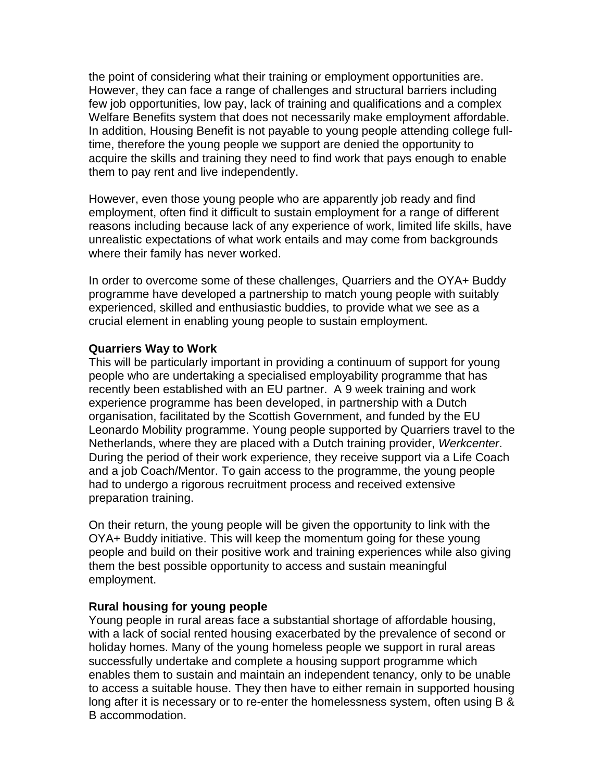the point of considering what their training or employment opportunities are. However, they can face a range of challenges and structural barriers including few job opportunities, low pay, lack of training and qualifications and a complex Welfare Benefits system that does not necessarily make employment affordable. In addition, Housing Benefit is not payable to young people attending college fulltime, therefore the young people we support are denied the opportunity to acquire the skills and training they need to find work that pays enough to enable them to pay rent and live independently.

However, even those young people who are apparently job ready and find employment, often find it difficult to sustain employment for a range of different reasons including because lack of any experience of work, limited life skills, have unrealistic expectations of what work entails and may come from backgrounds where their family has never worked.

In order to overcome some of these challenges, Quarriers and the OYA+ Buddy programme have developed a partnership to match young people with suitably experienced, skilled and enthusiastic buddies, to provide what we see as a crucial element in enabling young people to sustain employment.

## **Quarriers Way to Work**

This will be particularly important in providing a continuum of support for young people who are undertaking a specialised employability programme that has recently been established with an EU partner. A 9 week training and work experience programme has been developed, in partnership with a Dutch organisation, facilitated by the Scottish Government, and funded by the EU Leonardo Mobility programme. Young people supported by Quarriers travel to the Netherlands, where they are placed with a Dutch training provider, *Werkcenter*. During the period of their work experience, they receive support via a Life Coach and a job Coach/Mentor. To gain access to the programme, the young people had to undergo a rigorous recruitment process and received extensive preparation training.

On their return, the young people will be given the opportunity to link with the OYA+ Buddy initiative. This will keep the momentum going for these young people and build on their positive work and training experiences while also giving them the best possible opportunity to access and sustain meaningful employment.

## **Rural housing for young people**

Young people in rural areas face a substantial shortage of affordable housing, with a lack of social rented housing exacerbated by the prevalence of second or holiday homes. Many of the young homeless people we support in rural areas successfully undertake and complete a housing support programme which enables them to sustain and maintain an independent tenancy, only to be unable to access a suitable house. They then have to either remain in supported housing long after it is necessary or to re-enter the homelessness system, often using B & B accommodation.